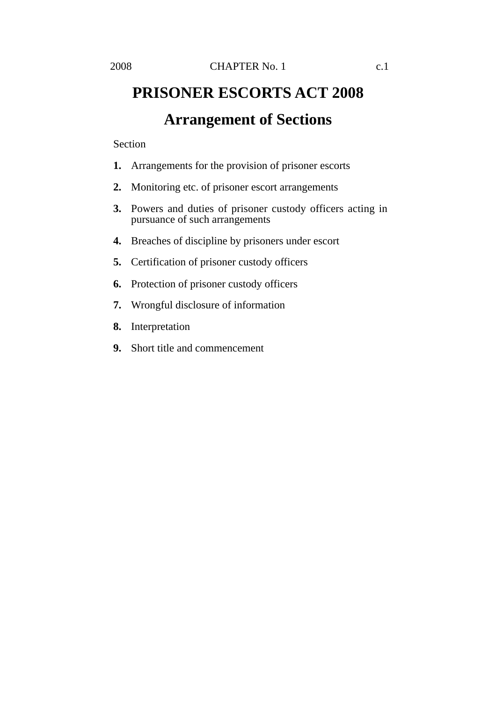## **PRISONER ESCORTS ACT 2008 Arrangement of Sections**

## Section

- **1.** Arrangements for the provision of prisoner escorts
- **2.** Monitoring etc. of prisoner escort arrangements
- **3.** Powers and duties of prisoner custody officers acting in pursuance of such arrangements
- **4.** Breaches of discipline by prisoners under escort
- **5.** Certification of prisoner custody officers
- **6.** Protection of prisoner custody officers
- **7.** Wrongful disclosure of information
- **8.** Interpretation
- **9.** Short title and commencement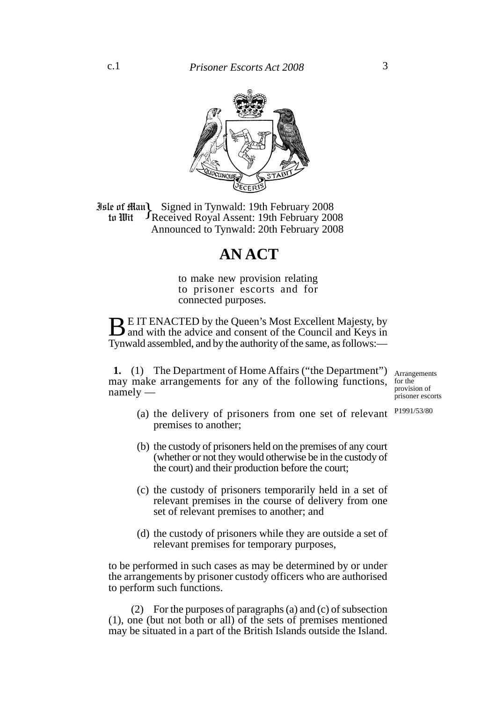

**Jule of Ham Signed in Tynwald: 19th February 2008**<br>**19th February 2008 19th February 2008** Received Royal Assent: 19th February 2008 Announced to Tynwald: 20th February 2008 to Wit

## **AN ACT**

to make new provision relating to prisoner escorts and for connected purposes.

**BE IT ENACTED by the Queen's Most Excellent Majesty, by** and with the advice and consent of the Council and Keys in Tynwald assembled, and by the authority of the same, as follows:—

**1.** (1) The Department of Home Affairs ("the Department") may make arrangements for any of the following functions, namely —

Arrangements for the provision of prisoner escorts

- (a) the delivery of prisoners from one set of relevant premises to another; P1991/53/80
- (b) the custody of prisoners held on the premises of any court (whether or not they would otherwise be in the custody of the court) and their production before the court;
- (c) the custody of prisoners temporarily held in a set of relevant premises in the course of delivery from one set of relevant premises to another; and
- (d) the custody of prisoners while they are outside a set of relevant premises for temporary purposes,

to be performed in such cases as may be determined by or under the arrangements by prisoner custody officers who are authorised to perform such functions.

(2) For the purposes of paragraphs (a) and (c) of subsection (1), one (but not both or all) of the sets of premises mentioned may be situated in a part of the British Islands outside the Island.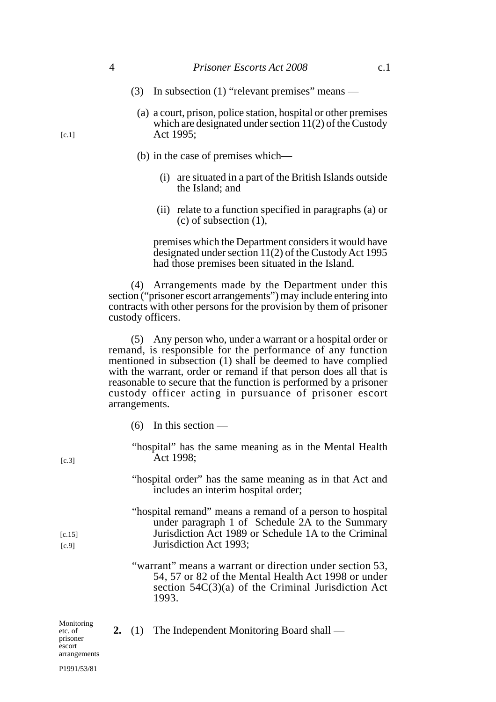- (3) In subsection (1) "relevant premises" means
	- (a) a court, prison, police station, hospital or other premises which are designated under section 11(2) of the Custody Act 1995;
	- (b) in the case of premises which—
		- (i) are situated in a part of the British Islands outside the Island; and
		- (ii) relate to a function specified in paragraphs (a) or (c) of subsection (1),

premises which the Department considers it would have designated under section 11(2) of the Custody Act 1995 had those premises been situated in the Island.

(4) Arrangements made by the Department under this section ("prisoner escort arrangements") may include entering into contracts with other persons for the provision by them of prisoner custody officers.

(5) Any person who, under a warrant or a hospital order or remand, is responsible for the performance of any function mentioned in subsection (1) shall be deemed to have complied with the warrant, order or remand if that person does all that is reasonable to secure that the function is performed by a prisoner custody officer acting in pursuance of prisoner escort arrangements.

- $(6)$  In this section —
- "hospital" has the same meaning as in the Mental Health Act 1998;
- "hospital order" has the same meaning as in that Act and includes an interim hospital order;
- "hospital remand" means a remand of a person to hospital under paragraph 1 of Schedule  $2A$  to the Summary Jurisdiction Act 1989 or Schedule 1A to the Criminal Jurisdiction Act 1993;
- "warrant" means a warrant or direction under section 53, 54, 57 or 82 of the Mental Health Act 1998 or under section 54C(3)(a) of the Criminal Jurisdiction Act 1993.

| Monitoring<br>etc. of<br>prisoner<br>escort |  | 2. (1) The Independent Monitoring Board shall — |
|---------------------------------------------|--|-------------------------------------------------|
|                                             |  |                                                 |
| arrangements                                |  |                                                 |

 $[c.1]$ 

 $[c.3]$ 

 $[c.15]$ [c.9]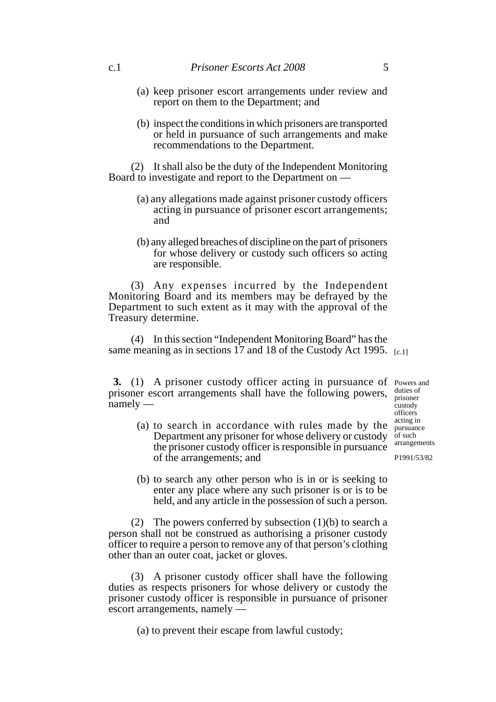- (a) keep prisoner escort arrangements under review and report on them to the Department; and
- (b) inspect the conditions in which prisoners are transported or held in pursuance of such arrangements and make recommendations to the Department.

(2) It shall also be the duty of the Independent Monitoring Board to investigate and report to the Department on —

- (a) any allegations made against prisoner custody officers acting in pursuance of prisoner escort arrangements; and
- (b) any alleged breaches of discipline on the part of prisoners for whose delivery or custody such officers so acting are responsible.

(3) Any expenses incurred by the Independent Monitoring Board and its members may be defrayed by the Department to such extent as it may with the approval of the Treasury determine.

(4) In this section "Independent Monitoring Board" has the same meaning as in sections 17 and 18 of the Custody Act 1995.  $_{[c.1]}$ 

**3.** (1) A prisoner custody officer acting in pursuance of Powers and prisoner escort arrangements shall have the following powers, namely —

of the arrangements; and

duties of prisoner custody officers acting in pursuance of such arrangements

P1991/53/82

(b) to search any other person who is in or is seeking to enter any place where any such prisoner is or is to be held, and any article in the possession of such a person.

(a) to search in accordance with rules made by the Department any prisoner for whose delivery or custody the prisoner custody officer is responsible in pursuance

(2) The powers conferred by subsection (1)(b) to search a person shall not be construed as authorising a prisoner custody officer to require a person to remove any of that person's clothing other than an outer coat, jacket or gloves.

(3) A prisoner custody officer shall have the following duties as respects prisoners for whose delivery or custody the prisoner custody officer is responsible in pursuance of prisoner escort arrangements, namely —

(a) to prevent their escape from lawful custody;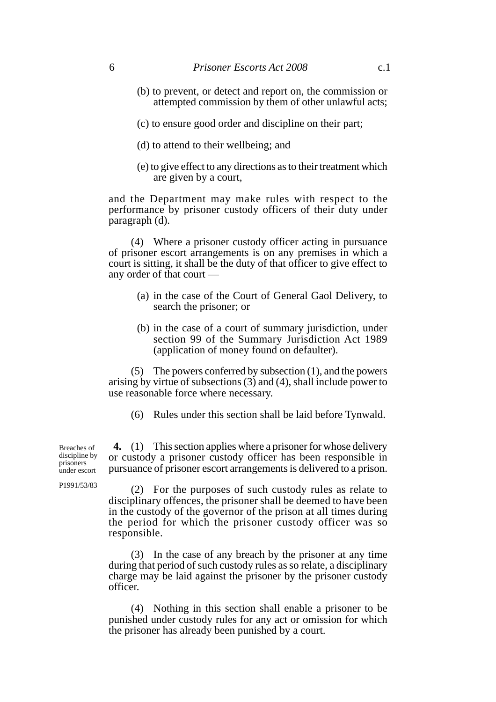- (b) to prevent, or detect and report on, the commission or attempted commission by them of other unlawful acts;
- (c) to ensure good order and discipline on their part;
- (d) to attend to their wellbeing; and
- (e) to give effect to any directions as to their treatment which are given by a court,

and the Department may make rules with respect to the performance by prisoner custody officers of their duty under paragraph (d).

(4) Where a prisoner custody officer acting in pursuance of prisoner escort arrangements is on any premises in which a court is sitting, it shall be the duty of that officer to give effect to any order of that court —

- (a) in the case of the Court of General Gaol Delivery, to search the prisoner; or
- (b) in the case of a court of summary jurisdiction, under section 99 of the Summary Jurisdiction Act 1989 (application of money found on defaulter).

(5) The powers conferred by subsection (1), and the powers arising by virtue of subsections (3) and (4), shall include power to use reasonable force where necessary.

(6) Rules under this section shall be laid before Tynwald.

**4.** (1) This section applies where a prisoner for whose delivery or custody a prisoner custody officer has been responsible in pursuance of prisoner escort arrangements is delivered to a prison. Breaches of discipline by prisoners under escort

P1991/53/83

(2) For the purposes of such custody rules as relate to disciplinary offences, the prisoner shall be deemed to have been in the custody of the governor of the prison at all times during the period for which the prisoner custody officer was so responsible.

(3) In the case of any breach by the prisoner at any time during that period of such custody rules as so relate, a disciplinary charge may be laid against the prisoner by the prisoner custody officer.

(4) Nothing in this section shall enable a prisoner to be punished under custody rules for any act or omission for which the prisoner has already been punished by a court.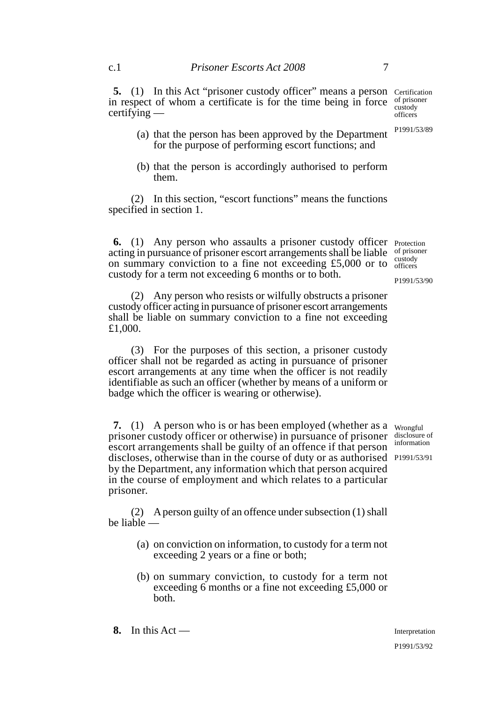**5.** (1) In this Act "prisoner custody officer" means a person Certification in respect of whom a certificate is for the time being in force of prisoner custody

certifying — (a) that the person has been approved by the Department officers P1991/53/89

(b) that the person is accordingly authorised to perform them.

for the purpose of performing escort functions; and

(2) In this section, "escort functions" means the functions specified in section 1.

**6.** (1) Any person who assaults a prisoner custody officer Protection acting in pursuance of prisoner escort arrangements shall be liable on summary conviction to a fine not exceeding  $£5,000$  or to  $\frac{\text{cusbody}}{\text{officers}}$ custody for a term not exceeding 6 months or to both.

(2) Any person who resists or wilfully obstructs a prisoner custody officer acting in pursuance of prisoner escort arrangements shall be liable on summary conviction to a fine not exceeding £1,000.

(3) For the purposes of this section, a prisoner custody officer shall not be regarded as acting in pursuance of prisoner escort arrangements at any time when the officer is not readily identifiable as such an officer (whether by means of a uniform or badge which the officer is wearing or otherwise).

**7.** (1) A person who is or has been employed (whether as a wrongful prisoner custody officer or otherwise) in pursuance of prisoner escort arrangements shall be guilty of an offence if that person discloses, otherwise than in the course of duty or as authorised P1991/53/91 by the Department, any information which that person acquired in the course of employment and which relates to a particular prisoner.

(2) A person guilty of an offence under subsection (1) shall be liable —

- (a) on conviction on information, to custody for a term not exceeding 2 years or a fine or both;
- (b) on summary conviction, to custody for a term not exceeding 6 months or a fine not exceeding £5,000 or both.

**8.** In this Act —

P1991/53/90

disclosure of information

Interpretation P1991/53/92